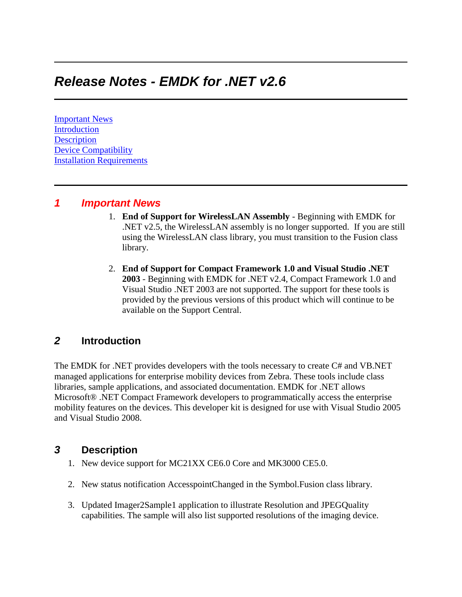# *Release Notes - EMDK for .NET v2.6*

[Important News](https://atgsupportcentral.motorolasolutions.com/content/emb/docs/ReleaseNotes/Release%20Notes%20-%20EMDK_M_020605_UP2C.htm#Important_News) [Introduction](https://atgsupportcentral.motorolasolutions.com/content/emb/docs/ReleaseNotes/Release%20Notes%20-%20EMDK_M_020605_UP2C.htm#Introduction) **[Description](https://atgsupportcentral.motorolasolutions.com/content/emb/docs/ReleaseNotes/Release%20Notes%20-%20EMDK_M_020605_UP2C.htm#Description)** [Device Compatibility](https://atgsupportcentral.motorolasolutions.com/content/emb/docs/ReleaseNotes/Release%20Notes%20-%20EMDK_M_020605_UP2C.htm#Compatibility_) [Installation Requirements](https://atgsupportcentral.motorolasolutions.com/content/emb/docs/ReleaseNotes/Release%20Notes%20-%20EMDK_M_020605_UP2C.htm#Installation_Requirements)

#### *1 Important News*

- 1. **End of Support for WirelessLAN Assembly** Beginning with EMDK for .NET v2.5, the WirelessLAN assembly is no longer supported. If you are still using the WirelessLAN class library, you must transition to the Fusion class library.
- 2. **End of Support for Compact Framework 1.0 and Visual Studio .NET 2003** - Beginning with EMDK for .NET v2.4, Compact Framework 1.0 and Visual Studio .NET 2003 are not supported. The support for these tools is provided by the previous versions of this product which will continue to be available on the Support Central.

## *2* **Introduction**

The EMDK for .NET provides developers with the tools necessary to create C# and VB.NET managed applications for enterprise mobility devices from Zebra. These tools include class libraries, sample applications, and associated documentation. EMDK for .NET allows Microsoft® .NET Compact Framework developers to programmatically access the enterprise mobility features on the devices. This developer kit is designed for use with Visual Studio 2005 and Visual Studio 2008.

#### *3* **Description**

- 1. New device support for MC21XX CE6.0 Core and MK3000 CE5.0.
- 2. New status notification AccesspointChanged in the Symbol.Fusion class library.
- 3. Updated Imager2Sample1 application to illustrate Resolution and JPEGQuality capabilities. The sample will also list supported resolutions of the imaging device.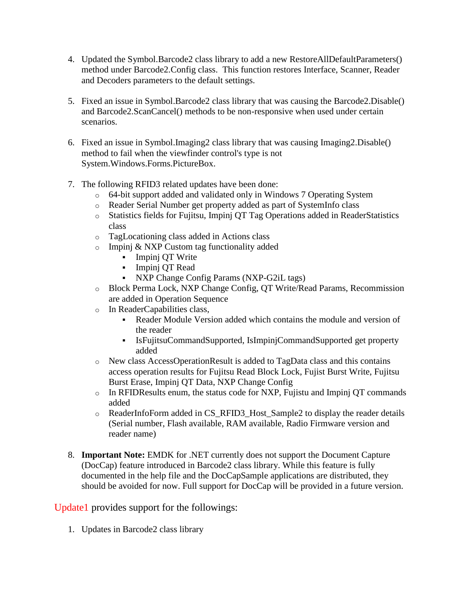- 4. Updated the Symbol.Barcode2 class library to add a new RestoreAllDefaultParameters() method under Barcode2.Config class. This function restores Interface, Scanner, Reader and Decoders parameters to the default settings.
- 5. Fixed an issue in Symbol.Barcode2 class library that was causing the Barcode2.Disable() and Barcode2.ScanCancel() methods to be non-responsive when used under certain scenarios.
- 6. Fixed an issue in Symbol.Imaging2 class library that was causing Imaging2.Disable() method to fail when the viewfinder control's type is not System.Windows.Forms.PictureBox.
- 7. The following RFID3 related updates have been done:
	- o 64-bit support added and validated only in Windows 7 Operating System
	- o Reader Serial Number get property added as part of SystemInfo class
	- o Statistics fields for Fujitsu, Impinj QT Tag Operations added in ReaderStatistics class
	- o TagLocationing class added in Actions class
	- o Impinj & NXP Custom tag functionality added
		- Impinj QT Write
		- Impinj QT Read
		- NXP Change Config Params (NXP-G2iL tags)
	- o Block Perma Lock, NXP Change Config, QT Write/Read Params, Recommission are added in Operation Sequence
	- o In ReaderCapabilities class,
		- Reader Module Version added which contains the module and version of the reader
		- IsFujitsuCommandSupported, IsImpinjCommandSupported get property added
	- o New class AccessOperationResult is added to TagData class and this contains access operation results for Fujitsu Read Block Lock, Fujist Burst Write, Fujitsu Burst Erase, Impinj QT Data, NXP Change Config
	- o In RFIDResults enum, the status code for NXP, Fujistu and Impinj QT commands added
	- o ReaderInfoForm added in CS\_RFID3\_Host\_Sample2 to display the reader details (Serial number, Flash available, RAM available, Radio Firmware version and reader name)
- 8. **Important Note:** EMDK for .NET currently does not support the Document Capture (DocCap) feature introduced in Barcode2 class library. While this feature is fully documented in the help file and the DocCapSample applications are distributed, they should be avoided for now. Full support for DocCap will be provided in a future version.

Update1 provides support for the followings:

1. Updates in Barcode2 class library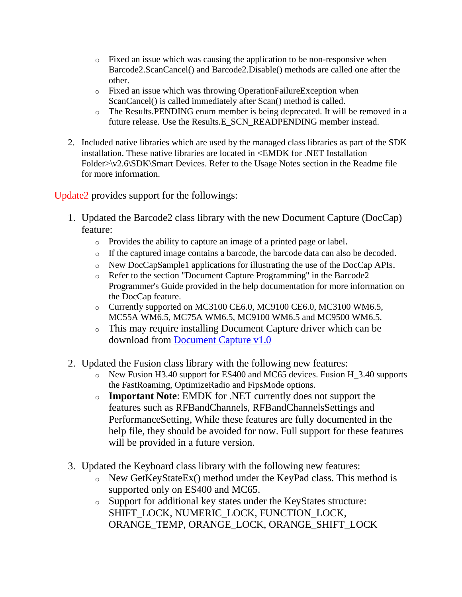- $\circ$  Fixed an issue which was causing the application to be non-responsive when Barcode2.ScanCancel() and Barcode2.Disable() methods are called one after the other.
- o Fixed an issue which was throwing OperationFailureException when ScanCancel() is called immediately after Scan() method is called.
- o The Results.PENDING enum member is being deprecated. It will be removed in a future release. Use the Results.E\_SCN\_READPENDING member instead.
- 2. Included native libraries which are used by the managed class libraries as part of the SDK installation. These native libraries are located in <EMDK for .NET Installation Folder>\v2.6\SDK\Smart Devices. Refer to the Usage Notes section in the Readme file for more information.

Update2 provides support for the followings:

- 1. Updated the Barcode2 class library with the new Document Capture (DocCap) feature:
	- o Provides the ability to capture an image of a printed page or label.
	- o If the captured image contains a barcode, the barcode data can also be decoded.
	- o New DocCapSample1 applications for illustrating the use of the DocCap APIs.
	- o Refer to the section "Document Capture Programming" in the Barcode2 Programmer's Guide provided in the help documentation for more information on the DocCap feature.
	- o Currently supported on MC3100 CE6.0, MC9100 CE6.0, MC3100 WM6.5, MC55A WM6.5, MC75A WM6.5, MC9100 WM6.5 and MC9500 WM6.5.
	- o This may require installing Document Capture driver which can be download from [Document Capture v1.0](http://support.symbol.com/support/search.do?cmd=displayKC&docType=kc&externalId=13580)
- 2. Updated the Fusion class library with the following new features:
	- o New Fusion H3.40 support for ES400 and MC65 devices. Fusion H\_3.40 supports the FastRoaming, OptimizeRadio and FipsMode options.
	- o **Important Note**: EMDK for .NET currently does not support the features such as RFBandChannels, RFBandChannelsSettings and PerformanceSetting, While these features are fully documented in the help file, they should be avoided for now. Full support for these features will be provided in a future version.
- 3. Updated the Keyboard class library with the following new features:
	- o New GetKeyStateEx() method under the KeyPad class. This method is supported only on ES400 and MC65.
	- o Support for additional key states under the KeyStates structure: SHIFT\_LOCK, NUMERIC\_LOCK, FUNCTION\_LOCK, ORANGE\_TEMP, ORANGE\_LOCK, ORANGE\_SHIFT\_LOCK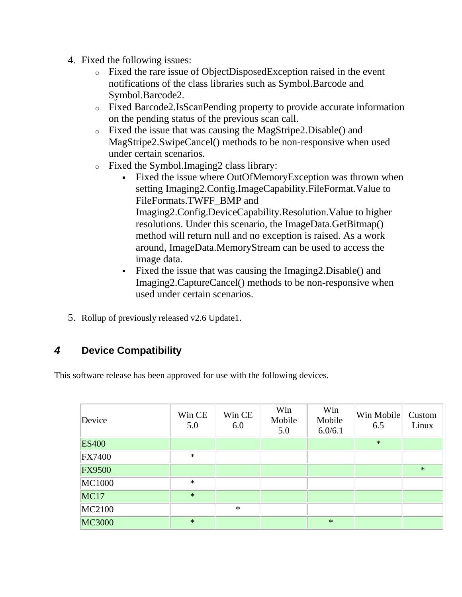- 4. Fixed the following issues:
	- o Fixed the rare issue of ObjectDisposedException raised in the event notifications of the class libraries such as Symbol.Barcode and Symbol.Barcode2.
	- o Fixed Barcode2.IsScanPending property to provide accurate information on the pending status of the previous scan call.
	- o Fixed the issue that was causing the MagStripe2.Disable() and MagStripe2.SwipeCancel() methods to be non-responsive when used under certain scenarios.
	- o Fixed the Symbol.Imaging2 class library:
		- Fixed the issue where OutOfMemoryException was thrown when setting Imaging2.Config.ImageCapability.FileFormat.Value to FileFormats.TWFF\_BMP and Imaging2.Config.DeviceCapability.Resolution.Value to higher resolutions. Under this scenario, the ImageData.GetBitmap() method will return null and no exception is raised. As a work around, ImageData.MemoryStream can be used to access the image data.
		- Fixed the issue that was causing the Imaging2.Disable() and Imaging2.CaptureCancel() methods to be non-responsive when used under certain scenarios.
- 5. Rollup of previously released v2.6 Update1.

# *4* **Device Compatibility**

This software release has been approved for use with the following devices.

| Device        | Win CE<br>5.0 | Win CE<br>6.0 | Win<br>Mobile<br>5.0 | Win<br>Mobile<br>6.0/6.1 | Win Mobile<br>6.5 | Custom<br>Linux |
|---------------|---------------|---------------|----------------------|--------------------------|-------------------|-----------------|
| <b>ES400</b>  |               |               |                      |                          | $\ast$            |                 |
| <b>FX7400</b> | $\ast$        |               |                      |                          |                   |                 |
| <b>FX9500</b> |               |               |                      |                          |                   | $\ast$          |
| <b>MC1000</b> | $\ast$        |               |                      |                          |                   |                 |
| <b>MC17</b>   | $\ast$        |               |                      |                          |                   |                 |
| MC2100        |               | $\ast$        |                      |                          |                   |                 |
| <b>MC3000</b> | $\ast$        |               |                      | $\ast$                   |                   |                 |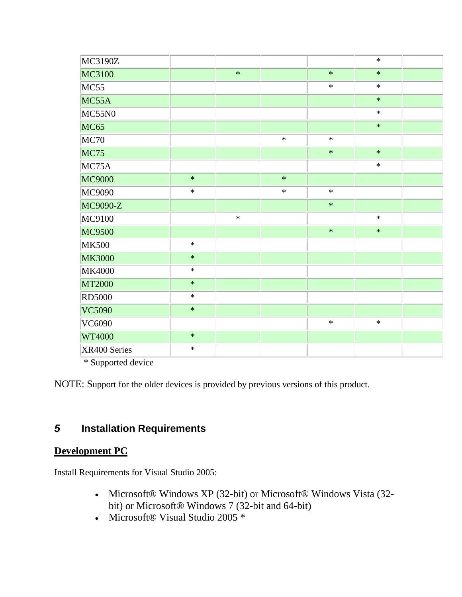| MC3190Z       |        |        |        |        | $\ast$ |  |
|---------------|--------|--------|--------|--------|--------|--|
| MC3100        |        | $\ast$ |        | $\ast$ | $\ast$ |  |
| MC55          |        |        |        | $\ast$ | $\ast$ |  |
| MC55A         |        |        |        |        | $\ast$ |  |
| MC55N0        |        |        |        |        | $\ast$ |  |
| <b>MC65</b>   |        |        |        |        | $\ast$ |  |
| MC70          |        |        | $\ast$ | $\ast$ |        |  |
| <b>MC75</b>   |        |        |        | $\ast$ | $\ast$ |  |
| MC75A         |        |        |        |        | $\ast$ |  |
| MC9000        | $\ast$ |        | $\ast$ |        |        |  |
| MC9090        | $\ast$ |        | $\ast$ | $\ast$ |        |  |
| MC9090-Z      |        |        |        | $\ast$ |        |  |
| MC9100        |        | $\ast$ |        |        | $\ast$ |  |
| <b>MC9500</b> |        |        |        | $\ast$ | $\ast$ |  |
| <b>MK500</b>  | $\ast$ |        |        |        |        |  |
| <b>MK3000</b> | $\ast$ |        |        |        |        |  |
| <b>MK4000</b> | $\ast$ |        |        |        |        |  |
| <b>MT2000</b> | $\ast$ |        |        |        |        |  |
| <b>RD5000</b> | $\ast$ |        |        |        |        |  |
| VC5090        | $\ast$ |        |        |        |        |  |
| VC6090        |        |        |        | $\ast$ | $\ast$ |  |
| WT4000        | $\ast$ |        |        |        |        |  |
| XR400 Series  | $\ast$ |        |        |        |        |  |

\* Supported device

NOTE: Support for the older devices is provided by previous versions of this product.

# *5* **Installation Requirements**

## **Development PC**

Install Requirements for Visual Studio 2005:

- Microsoft® Windows XP (32-bit) or Microsoft® Windows Vista (32 bit) or Microsoft® Windows 7 (32-bit and 64-bit)
- Microsoft® Visual Studio 2005 \*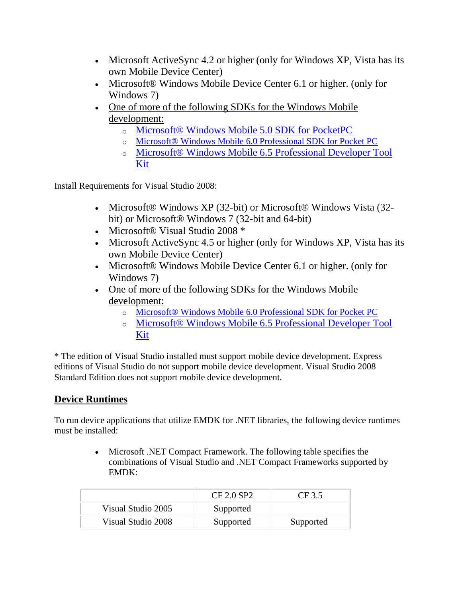- Microsoft ActiveSync 4.2 or higher (only for Windows XP, Vista has its own Mobile Device Center)
- Microsoft® Windows Mobile Device Center 6.1 or higher. (only for Windows 7)
- One of more of the following SDKs for the Windows Mobile [development:](http://www.microsoft.com/downloads/details.aspx?FamilyID=83A52AF2-F524-4EC5-9155-717CBE5D25ED&displaylang=en)
	- o [Microsoft® Windows Mobile 5.0 SDK for PocketPC](http://www.microsoft.com/downloads/details.aspx?FamilyID=83A52AF2-F524-4EC5-9155-717CBE5D25ED&displaylang=en)
	- o [Microsoft® Windows Mobile 6.0 Professional SDK for Pocket PC](http://www.microsoft.com/downloads/details.aspx?familyid=06111A3A-A651-4745-88EF-3D48091A390B&displaylang=en)
	- o [Microsoft® Windows Mobile 6.5](http://www.microsoft.com/downloads/details.aspx?FamilyID=20686a1d-97a8-4f80-bc6a-ae010e085a6e&displaylang=en) Professional Developer Tool [Kit](http://www.microsoft.com/downloads/details.aspx?FamilyID=20686a1d-97a8-4f80-bc6a-ae010e085a6e&displaylang=en)

Install Requirements for Visual Studio 2008:

- Microsoft® Windows XP (32-bit) or Microsoft® Windows Vista (32bit) or Microsoft® Windows 7 (32-bit and 64-bit)
- Microsoft® Visual Studio 2008 \*
- Microsoft ActiveSync 4.5 or higher (only for Windows XP, Vista has its own Mobile Device Center)
- Microsoft® Windows Mobile Device Center 6.1 or higher. (only for Windows 7)
- One of more of the following SDKs for the Windows Mobile [development:](http://www.microsoft.com/downloads/details.aspx?FamilyID=83A52AF2-F524-4EC5-9155-717CBE5D25ED&displaylang=en)
	- o [Microsoft® Windows Mobile 6.0 Professional SDK for Pocket PC](http://www.microsoft.com/downloads/details.aspx?familyid=06111A3A-A651-4745-88EF-3D48091A390B&displaylang=en)
	- o [Microsoft® Windows Mobile 6.5 Professional Developer Tool](http://www.microsoft.com/downloads/details.aspx?FamilyID=20686a1d-97a8-4f80-bc6a-ae010e085a6e&displaylang=en)  [Kit](http://www.microsoft.com/downloads/details.aspx?FamilyID=20686a1d-97a8-4f80-bc6a-ae010e085a6e&displaylang=en)

\* The edition of Visual Studio installed must support mobile device development. Express editions of Visual Studio do not support mobile device development. Visual Studio 2008 Standard Edition does not support mobile device development.

## **Device Runtimes**

To run device applications that utilize EMDK for .NET libraries, the following device runtimes must be installed:

> Microsoft .NET Compact Framework. The following table specifies the combinations of Visual Studio and .NET Compact Frameworks supported by EMDK:

|                    | CF 2.0 SP2 | CF 3.5    |
|--------------------|------------|-----------|
| Visual Studio 2005 | Supported  |           |
| Visual Studio 2008 | Supported  | Supported |